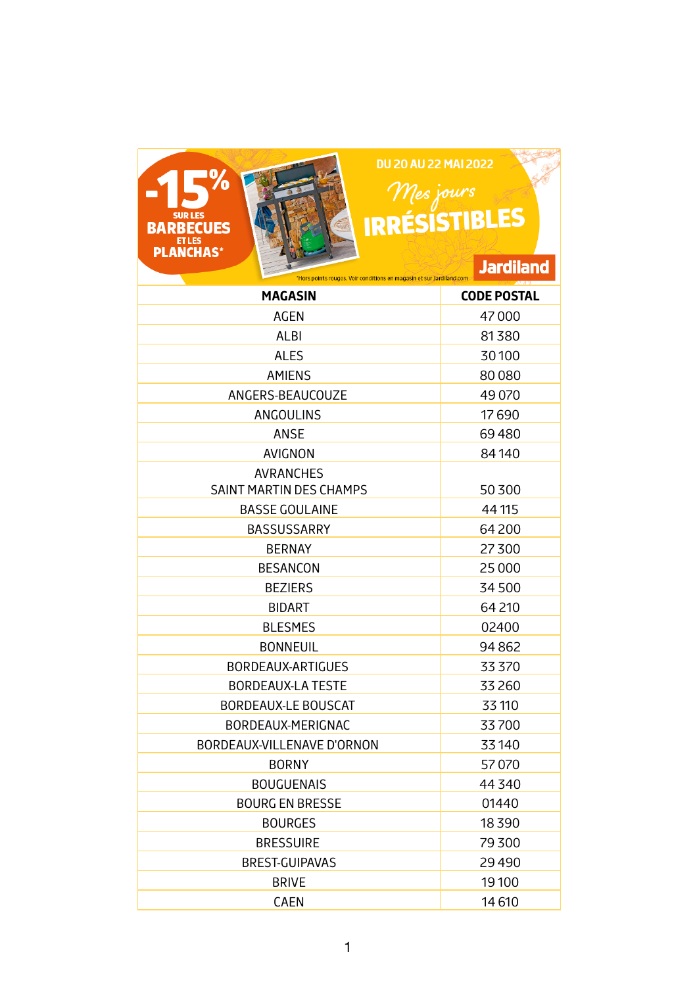## **DU 20 AU 22 MAI 2022**  $\begin{array}{c}\n\mathcal{M}es \text{ jours} \\
\text{IRRÉSISTIBLES}\n\end{array}$



## **Jardiland** \*Hors points rouges. Voir conditions en magasin et sur Jardiland.com

| <b>MAGASIN</b>                              | <b>CODE POSTAL</b> |
|---------------------------------------------|--------------------|
| <b>AGEN</b>                                 | 47000              |
| ALBI                                        | 81380              |
| <b>ALES</b>                                 | 30100              |
| <b>AMIENS</b>                               | 80080              |
| ANGERS-BEAUCOUZE                            | 49 0 70            |
| ANGOULINS                                   | 17690              |
| ANSE                                        | 69480              |
| <b>AVIGNON</b>                              | 84140              |
| <b>AVRANCHES</b><br>SAINT MARTIN DES CHAMPS | 50 300             |
| <b>BASSE GOULAINE</b>                       | 44 115             |
| <b>BASSUSSARRY</b>                          | 64 200             |
| <b>BERNAY</b>                               | 27300              |
| <b>BESANCON</b>                             | 25 000             |
| <b>BEZIERS</b>                              | 34500              |
| <b>BIDART</b>                               | 64 210             |
| <b>BLESMES</b>                              | 02400              |
| <b>BONNEUIL</b>                             | 94862              |
| BORDEAUX-ARTIGUES                           | 33 370             |
| <b>BORDEAUX-LA TESTE</b>                    | 33 260             |
| <b>BORDEAUX-LE BOUSCAT</b>                  | 33 110             |
| BORDEAUX-MERIGNAC                           | 33700              |
| BORDEAUX-VILLENAVE D'ORNON                  | 33140              |
| <b>BORNY</b>                                | 57070              |
| <b>BOUGUENAIS</b>                           | 44 340             |
| <b>BOURG EN BRESSE</b>                      | 01440              |
| <b>BOURGES</b>                              | 18390              |
| <b>BRESSUIRE</b>                            | 79300              |
| <b>BREST-GUIPAVAS</b>                       | 29490              |
| <b>BRIVE</b>                                | 19100              |
| CAEN                                        | 14 610             |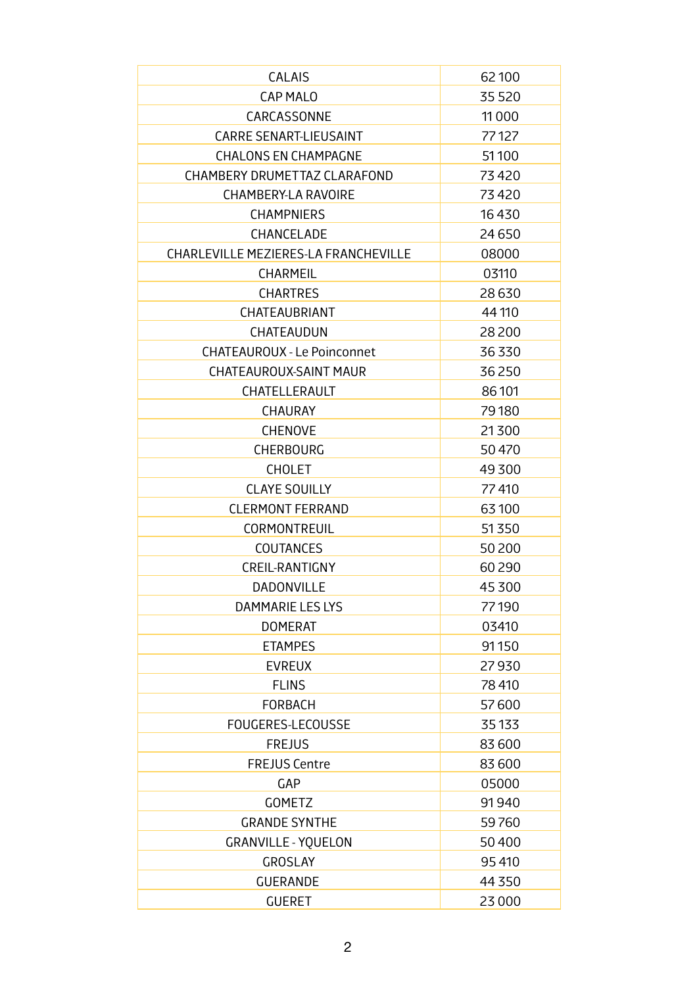| CALAIS                               | 62100    |
|--------------------------------------|----------|
| <b>CAP MALO</b>                      | 35 5 20  |
| CARCASSONNE                          | 11 0 0 0 |
| <b>CARRE SENART-LIEUSAINT</b>        | 77127    |
| <b>CHALONS EN CHAMPAGNE</b>          | 51100    |
| CHAMBERY DRUMETTAZ CLARAFOND         | 73420    |
| <b>CHAMBERY-LA RAVOIRE</b>           | 73420    |
| <b>CHAMPNIERS</b>                    | 16430    |
| CHANCELADE                           | 24 6 50  |
| CHARLEVILLE MEZIERES-LA FRANCHEVILLE | 08000    |
| <b>CHARMEIL</b>                      | 03110    |
| <b>CHARTRES</b>                      | 28630    |
| CHATEAUBRIANT                        | 44 110   |
| CHATEAUDUN                           | 28 200   |
| <b>CHATEAUROUX - Le Poinconnet</b>   | 36 330   |
| CHATEAUROUX-SAINT MAUR               | 36250    |
| CHATELLERAULT                        | 86 101   |
| <b>CHAURAY</b>                       | 79180    |
| <b>CHENOVE</b>                       | 21300    |
| <b>CHERBOURG</b>                     | 50470    |
| <b>CHOLET</b>                        | 49300    |
| <b>CLAYE SOUILLY</b>                 | 77410    |
| <b>CLERMONT FERRAND</b>              | 63100    |
| <b>CORMONTREUIL</b>                  | 51350    |
| <b>COUTANCES</b>                     | 50200    |
| CREIL-RANTIGNY                       | 60290    |
| DADONVILLE                           | 45 300   |
| DAMMARIE LES LYS                     | 77190    |
| <b>DOMERAT</b>                       | 03410    |
| <b>ETAMPES</b>                       | 91150    |
| <b>EVREUX</b>                        | 27930    |
| <b>FLINS</b>                         | 78 410   |
| <b>FORBACH</b>                       | 57600    |
| FOUGERES-LECOUSSE                    | 35 1 33  |
| <b>FREJUS</b>                        | 83 600   |
| <b>FREJUS Centre</b>                 | 83 600   |
| <b>GAP</b>                           | 05000    |
| <b>GOMETZ</b>                        | 91940    |
| <b>GRANDE SYNTHE</b>                 | 59760    |
| <b>GRANVILLE - YQUELON</b>           | 50400    |
| <b>GROSLAY</b>                       | 95410    |
| <b>GUERANDE</b>                      | 44 3 50  |
| <b>GUERET</b>                        | 23 000   |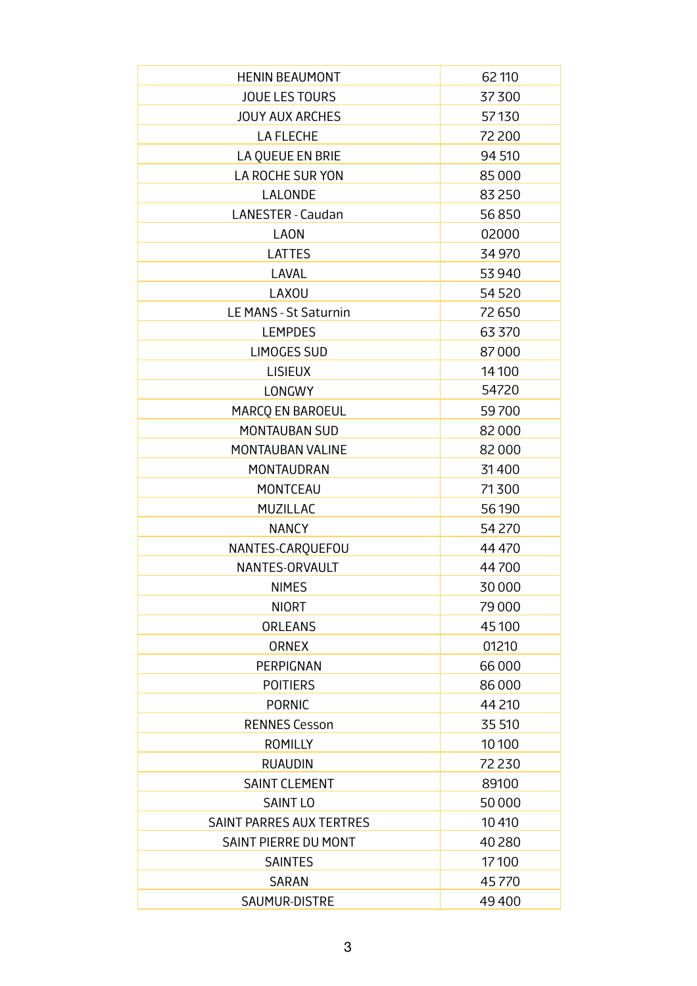| <b>HENIN BEAUMONT</b>    | 62 110  |
|--------------------------|---------|
| <b>JOUE LES TOURS</b>    | 37300   |
| <b>JOUY AUX ARCHES</b>   | 57130   |
| <b>LA FLECHE</b>         | 72 200  |
| LA QUEUE EN BRIE         | 94 510  |
| LA ROCHE SUR YON         | 85000   |
| <b>LALONDE</b>           | 83 250  |
| <b>LANESTER - Caudan</b> | 56850   |
| <b>LAON</b>              | 02000   |
| <b>LATTES</b>            | 34 970  |
| <b>LAVAL</b>             | 53 940  |
| <b>LAXOU</b>             | 54 5 20 |
| LE MANS - St Saturnin    | 72650   |
| <b>LEMPDES</b>           | 63 3 70 |
| <b>LIMOGES SUD</b>       | 87000   |
| <b>LISIEUX</b>           | 14 100  |
| <b>LONGWY</b>            | 54720   |
| MARCO EN BAROEUL         | 59700   |
| <b>MONTAUBAN SUD</b>     | 82000   |
| MONTAUBAN VALINE         | 82000   |
| MONTAUDRAN               | 31400   |
| <b>MONTCEAU</b>          | 71300   |
| MUZILLAC                 | 56190   |
| <b>NANCY</b>             | 54 270  |
| NANTES-CARQUEFOU         | 44 4 70 |
| NANTES-ORVAULT           | 44700   |
| <b>NIMES</b>             | 30000   |
| <b>NIORT</b>             | 79 000  |
| <b>ORLEANS</b>           | 45100   |
| <b>ORNEX</b>             | 01210   |
| PERPIGNAN                | 66000   |
| <b>POITIERS</b>          | 86000   |
| <b>PORNIC</b>            | 44 210  |
| <b>RENNES Cesson</b>     | 35 510  |
| <b>ROMILLY</b>           | 10100   |
| <b>RUAUDIN</b>           | 72 230  |
| <b>SAINT CLEMENT</b>     | 89100   |
| <b>SAINT LO</b>          | 50000   |
| SAINT PARRES AUX TERTRES | 10410   |
| SAINT PIERRE DU MONT     | 40280   |
| <b>SAINTES</b>           | 17100   |
| <b>SARAN</b>             | 45770   |
| SAUMUR-DISTRE            | 49400   |